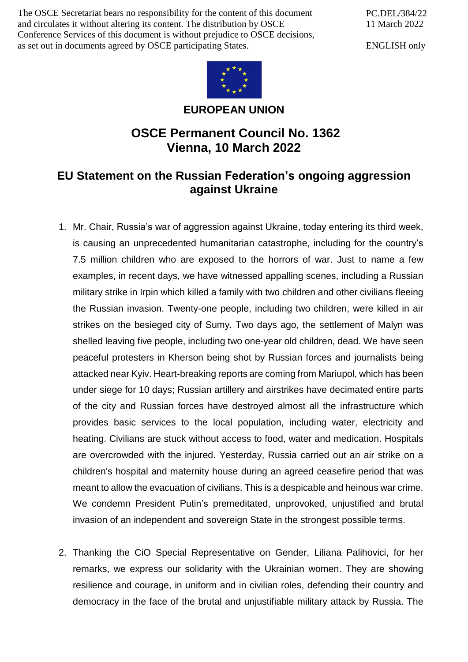The OSCE Secretariat bears no responsibility for the content of this document and circulates it without altering its content. The distribution by OSCE Conference Services of this document is without prejudice to OSCE decisions, as set out in documents agreed by OSCE participating States.

PC.DEL/384/22 11 March 2022

ENGLISH only



**EUROPEAN UNION**

## **OSCE Permanent Council No. 1362 Vienna, 10 March 2022**

## **EU Statement on the Russian Federation's ongoing aggression against Ukraine**

- 1. Mr. Chair, Russia's war of aggression against Ukraine, today entering its third week, is causing an unprecedented humanitarian catastrophe, including for the country's 7.5 million children who are exposed to the horrors of war. Just to name a few examples, in recent days, we have witnessed appalling scenes, including a Russian military strike in Irpin which killed a family with two children and other civilians fleeing the Russian invasion. Twenty-one people, including two children, were killed in air strikes on the besieged city of Sumy. Two days ago, the settlement of Malyn was shelled leaving five people, including two one-year old children, dead. We have seen peaceful protesters in Kherson being shot by Russian forces and journalists being attacked near Kyiv. Heart-breaking reports are coming from Mariupol, which has been under siege for 10 days; Russian artillery and airstrikes have decimated entire parts of the city and Russian forces have destroyed almost all the infrastructure which provides basic services to the local population, including water, electricity and heating. Civilians are stuck without access to food, water and medication. Hospitals are overcrowded with the injured. Yesterday, Russia carried out an air strike on a children's hospital and maternity house during an agreed ceasefire period that was meant to allow the evacuation of civilians. This is a despicable and heinous war crime. We condemn President Putin's premeditated, unprovoked, unjustified and brutal invasion of an independent and sovereign State in the strongest possible terms.
- 2. Thanking the CiO Special Representative on Gender, Liliana Palihovici, for her remarks, we express our solidarity with the Ukrainian women. They are showing resilience and courage, in uniform and in civilian roles, defending their country and democracy in the face of the brutal and unjustifiable military attack by Russia. The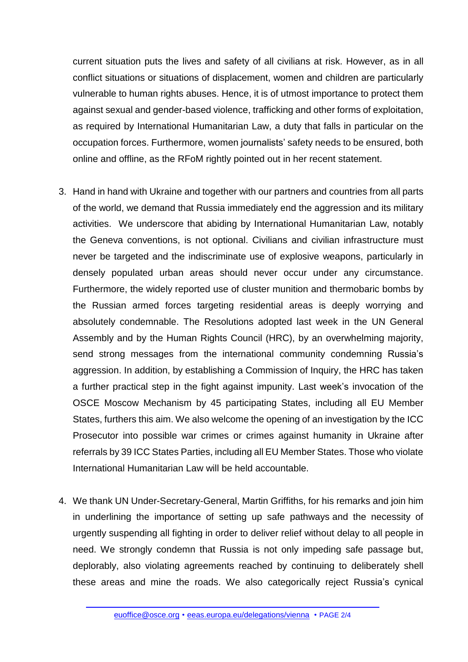current situation puts the lives and safety of all civilians at risk. However, as in all conflict situations or situations of displacement, women and children are particularly vulnerable to human rights abuses. Hence, it is of utmost importance to protect them against sexual and gender-based violence, trafficking and other forms of exploitation, as required by International Humanitarian Law, a duty that falls in particular on the occupation forces. Furthermore, women journalists' safety needs to be ensured, both online and offline, as the RFoM rightly pointed out in her recent statement.

- 3. Hand in hand with Ukraine and together with our partners and countries from all parts of the world, we demand that Russia immediately end the aggression and its military activities. We underscore that abiding by International Humanitarian Law, notably the Geneva conventions, is not optional. Civilians and civilian infrastructure must never be targeted and the indiscriminate use of explosive weapons, particularly in densely populated urban areas should never occur under any circumstance. Furthermore, the widely reported use of cluster munition and thermobaric bombs by the Russian armed forces targeting residential areas is deeply worrying and absolutely condemnable. The Resolutions adopted last week in the UN General Assembly and by the Human Rights Council (HRC), by an overwhelming majority, send strong messages from the international community condemning Russia's aggression. In addition, by establishing a Commission of Inquiry, the HRC has taken a further practical step in the fight against impunity. Last week's invocation of the OSCE Moscow Mechanism by 45 participating States, including all EU Member States, furthers this aim. We also welcome the opening of an investigation by the ICC Prosecutor into possible war crimes or crimes against humanity in Ukraine after referrals by 39 ICC States Parties, including all EU Member States. Those who violate International Humanitarian Law will be held accountable.
- 4. We thank UN Under-Secretary-General, Martin Griffiths, for his remarks and join him in underlining the importance of setting up safe pathways and the necessity of urgently suspending all fighting in order to deliver relief without delay to all people in need. We strongly condemn that Russia is not only impeding safe passage but, deplorably, also violating agreements reached by continuing to deliberately shell these areas and mine the roads. We also categorically reject Russia's cynical

[euoffice@osce.org](mailto:euoffice@osce.org) • [eeas.europa.eu/delegations/vienna](http://eeas.europa.eu/delegations/vienna) • PAGE 2/4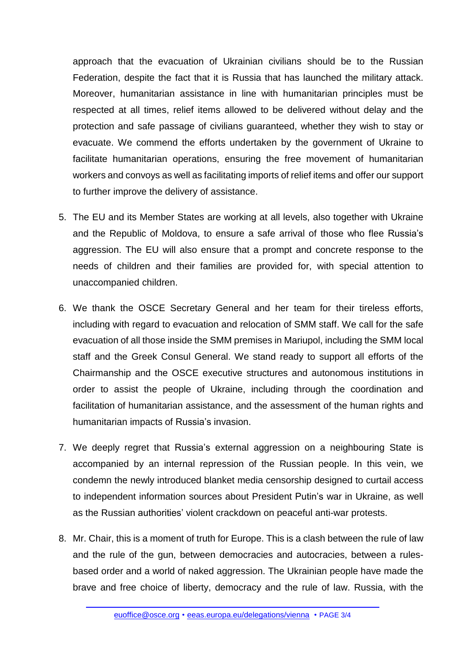approach that the evacuation of Ukrainian civilians should be to the Russian Federation, despite the fact that it is Russia that has launched the military attack. Moreover, humanitarian assistance in line with humanitarian principles must be respected at all times, relief items allowed to be delivered without delay and the protection and safe passage of civilians guaranteed, whether they wish to stay or evacuate. We commend the efforts undertaken by the government of Ukraine to facilitate humanitarian operations, ensuring the free movement of humanitarian workers and convoys as well as facilitating imports of relief items and offer our support to further improve the delivery of assistance.

- 5. The EU and its Member States are working at all levels, also together with Ukraine and the Republic of Moldova, to ensure a safe arrival of those who flee Russia's aggression. The EU will also ensure that a prompt and concrete response to the needs of children and their families are provided for, with special attention to unaccompanied children.
- 6. We thank the OSCE Secretary General and her team for their tireless efforts, including with regard to evacuation and relocation of SMM staff. We call for the safe evacuation of all those inside the SMM premises in Mariupol, including the SMM local staff and the Greek Consul General. We stand ready to support all efforts of the Chairmanship and the OSCE executive structures and autonomous institutions in order to assist the people of Ukraine, including through the coordination and facilitation of humanitarian assistance, and the assessment of the human rights and humanitarian impacts of Russia's invasion.
- 7. We deeply regret that Russia's external aggression on a neighbouring State is accompanied by an internal repression of the Russian people. In this vein, we condemn the newly introduced blanket media censorship designed to curtail access to independent information sources about President Putin's war in Ukraine, as well as the Russian authorities' violent crackdown on peaceful anti-war protests.
- 8. Mr. Chair, this is a moment of truth for Europe. This is a clash between the rule of law and the rule of the gun, between democracies and autocracies, between a rulesbased order and a world of naked aggression. The Ukrainian people have made the brave and free choice of liberty, democracy and the rule of law. Russia, with the